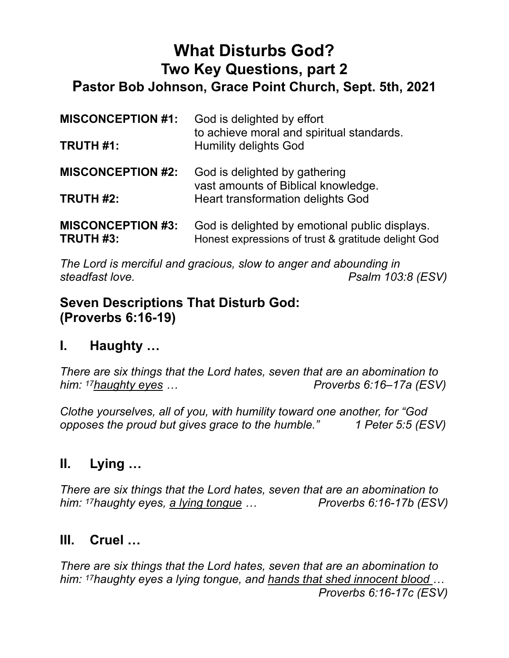# **What Disturbs God? Two Key Questions, part 2 Pastor Bob Johnson, Grace Point Church, Sept. 5th, 2021**

| <b>MISCONCEPTION #1:</b><br><b>TRUTH #1:</b> | God is delighted by effort<br>to achieve moral and spiritual standards.<br><b>Humility delights God</b> |
|----------------------------------------------|---------------------------------------------------------------------------------------------------------|
| <b>MISCONCEPTION #2:</b>                     | God is delighted by gathering                                                                           |
| <b>TRUTH #2:</b>                             | vast amounts of Biblical knowledge.<br><b>Heart transformation delights God</b>                         |
| <b>MISCONCEPTION #3:</b><br>TRUTH #3:        | God is delighted by emotional public displays.<br>Honest expressions of trust & gratitude delight God   |

*The Lord is merciful and gracious, slow to anger and abounding in steadfast love. Psalm 103:8 (ESV)*

#### **Seven Descriptions That Disturb God: (Proverbs 6:16-19)**

## **I. Haughty …**

*There are six things that the Lord hates, seven that are an abomination to him:* <sup>17</sup>haughty eyes ... *Proverbs 6:16–17a (ESV)* 

*Clothe yourselves, all of you, with humility toward one another, for "God opposes the proud but gives grace to the humble." 1 Peter 5:5 (ESV)*

## **II. Lying …**

*There are six things that the Lord hates, seven that are an abomination to him: 17haughty eyes, a lying tongue … Proverbs 6:16-17b (ESV)*

## **III. Cruel …**

*There are six things that the Lord hates, seven that are an abomination to him: 17haughty eyes a lying tongue, and hands that shed innocent blood … Proverbs 6:16-17c (ESV)*